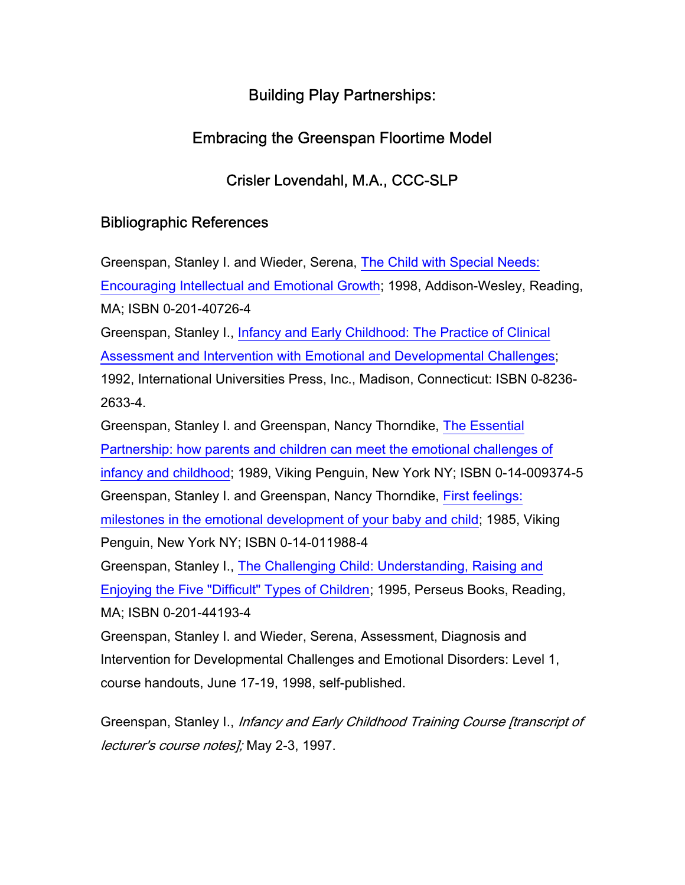# Building Play Partnerships:

# Embracing the Greenspan Floortime Model

Crisler Lovendahl, M.A., CCC-SLP

## Bibliographic References

Greenspan, Stanley I. and Wieder, Serena, The Child with Special Needs: Encouraging Intellectual and Emotional Growth; 1998, Addison-Wesley, Reading, MA; ISBN 0-201-40726-4 Greenspan, Stanley I., Infancy and Early Childhood: The Practice of Clinical Assessment and Intervention with Emotional and Developmental Challenges; 1992, International Universities Press, Inc., Madison, Connecticut: ISBN 0-8236- 2633-4. Greenspan, Stanley I. and Greenspan, Nancy Thorndike, The Essential Partnership: how parents and children can meet the emotional challenges of infancy and childhood; 1989, Viking Penguin, New York NY; ISBN 0-14-009374-5 Greenspan, Stanley I. and Greenspan, Nancy Thorndike, First feelings: milestones in the emotional development of your baby and child; 1985, Viking Penguin, New York NY; ISBN 0-14-011988-4 Greenspan, Stanley I., The Challenging Child: Understanding, Raising and Enjoying the Five "Difficult" Types of Children; 1995, Perseus Books, Reading, MA; ISBN 0-201-44193-4 Greenspan, Stanley I. and Wieder, Serena, Assessment, Diagnosis and Intervention for Developmental Challenges and Emotional Disorders: Level 1,

course handouts, June 17-19, 1998, self-published.

Greenspan, Stanley I., Infancy and Early Childhood Training Course [transcript of lecturer's course notes]; May 2-3, 1997.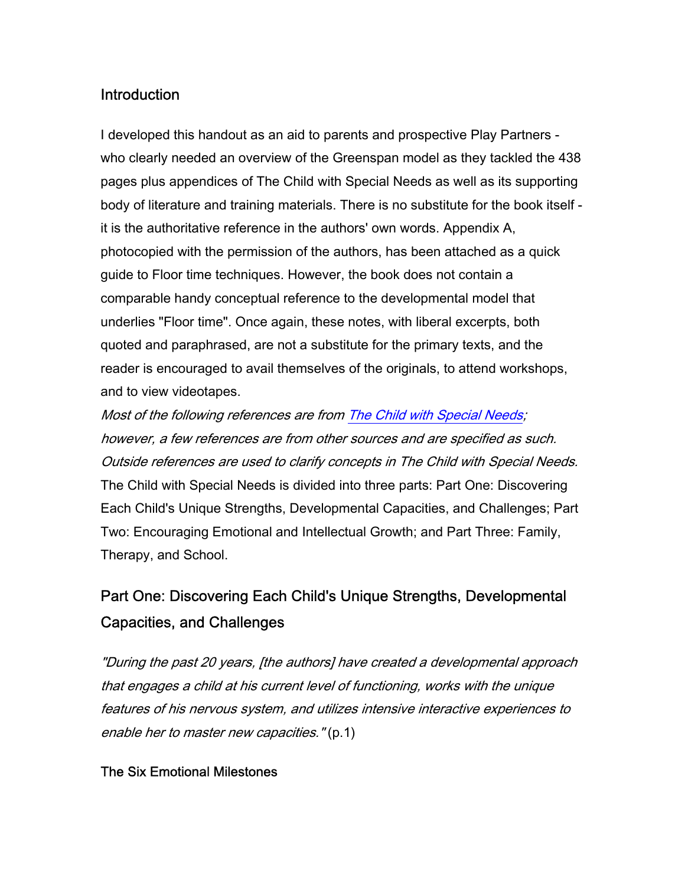# **Introduction**

I developed this handout as an aid to parents and prospective Play Partners who clearly needed an overview of the Greenspan model as they tackled the 438 pages plus appendices of The Child with Special Needs as well as its supporting body of literature and training materials. There is no substitute for the book itself it is the authoritative reference in the authors' own words. Appendix A, photocopied with the permission of the authors, has been attached as a quick guide to Floor time techniques. However, the book does not contain a comparable handy conceptual reference to the developmental model that underlies "Floor time". Once again, these notes, with liberal excerpts, both quoted and paraphrased, are not a substitute for the primary texts, and the reader is encouraged to avail themselves of the originals, to attend workshops, and to view videotapes.

Most of the following references are from The Child with Special Needs; however, a few references are from other sources and are specified as such. Outside references are used to clarify concepts in The Child with Special Needs. The Child with Special Needs is divided into three parts: Part One: Discovering Each Child's Unique Strengths, Developmental Capacities, and Challenges; Part Two: Encouraging Emotional and Intellectual Growth; and Part Three: Family, Therapy, and School.

# Part One: Discovering Each Child's Unique Strengths, Developmental Capacities, and Challenges

"During the past 20 years, [the authors] have created a developmental approach that engages a child at his current level of functioning, works with the unique features of his nervous system, and utilizes intensive interactive experiences to enable her to master new capacities." (p.1)

# The Six Emotional Milestones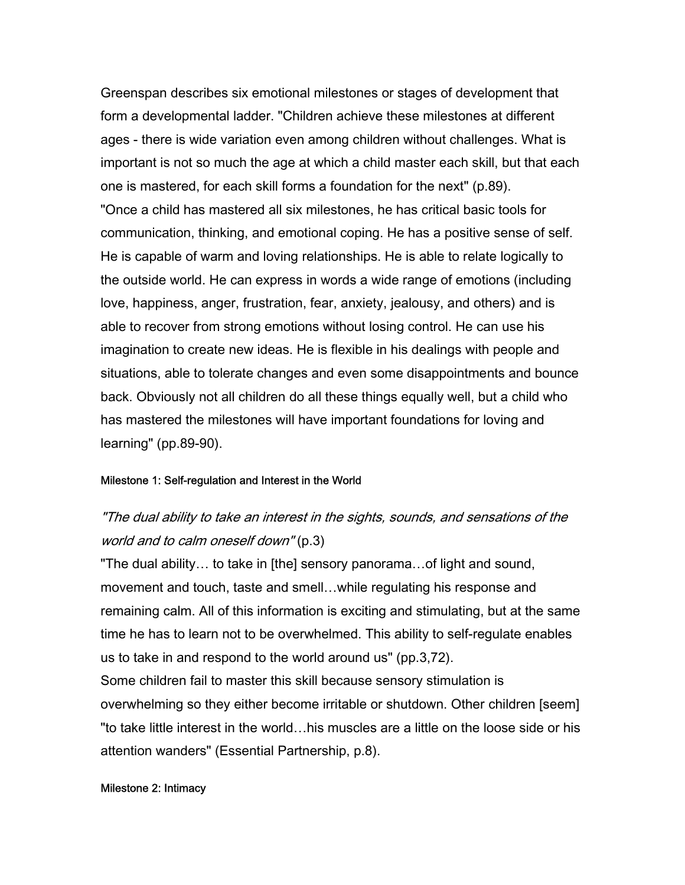Greenspan describes six emotional milestones or stages of development that form a developmental ladder. "Children achieve these milestones at different ages - there is wide variation even among children without challenges. What is important is not so much the age at which a child master each skill, but that each one is mastered, for each skill forms a foundation for the next" (p.89).

"Once a child has mastered all six milestones, he has critical basic tools for communication, thinking, and emotional coping. He has a positive sense of self. He is capable of warm and loving relationships. He is able to relate logically to the outside world. He can express in words a wide range of emotions (including love, happiness, anger, frustration, fear, anxiety, jealousy, and others) and is able to recover from strong emotions without losing control. He can use his imagination to create new ideas. He is flexible in his dealings with people and situations, able to tolerate changes and even some disappointments and bounce back. Obviously not all children do all these things equally well, but a child who has mastered the milestones will have important foundations for loving and learning" (pp.89-90).

#### Milestone 1: Self-regulation and Interest in the World

# "The dual ability to take an interest in the sights, sounds, and sensations of the world and to calm oneself down" (p.3)

"The dual ability… to take in [the] sensory panorama…of light and sound, movement and touch, taste and smell…while regulating his response and remaining calm. All of this information is exciting and stimulating, but at the same time he has to learn not to be overwhelmed. This ability to self-regulate enables us to take in and respond to the world around us" (pp.3,72).

Some children fail to master this skill because sensory stimulation is overwhelming so they either become irritable or shutdown. Other children [seem] "to take little interest in the world…his muscles are a little on the loose side or his attention wanders" (Essential Partnership, p.8).

#### Milestone 2: Intimacy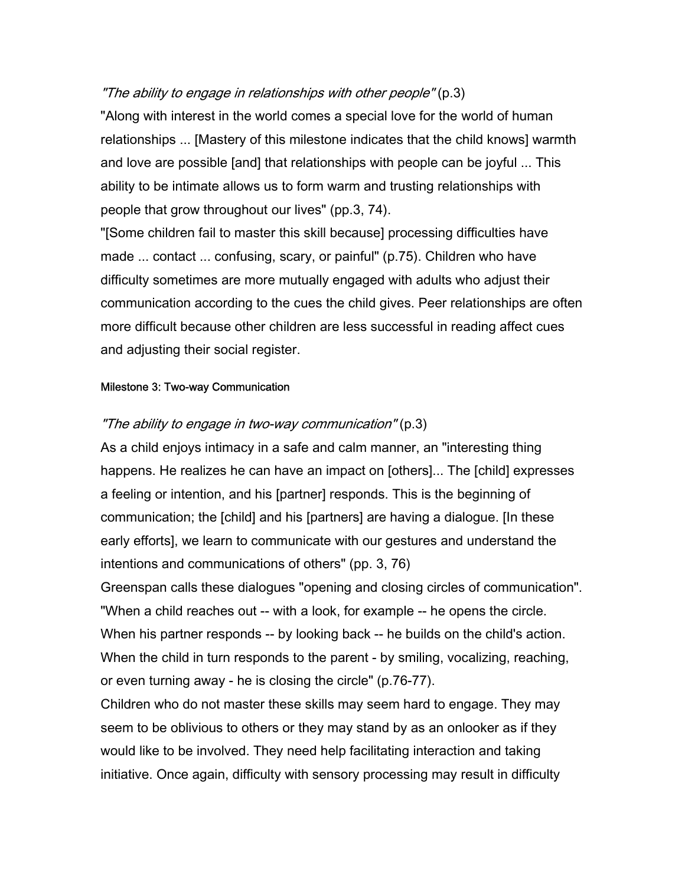#### "The ability to engage in relationships with other people" (p.3)

"Along with interest in the world comes a special love for the world of human relationships ... [Mastery of this milestone indicates that the child knows] warmth and love are possible [and] that relationships with people can be joyful ... This ability to be intimate allows us to form warm and trusting relationships with people that grow throughout our lives" (pp.3, 74).

"[Some children fail to master this skill because] processing difficulties have made ... contact ... confusing, scary, or painful" (p.75). Children who have difficulty sometimes are more mutually engaged with adults who adjust their communication according to the cues the child gives. Peer relationships are often more difficult because other children are less successful in reading affect cues and adjusting their social register.

#### Milestone 3: Two-way Communication

#### "The ability to engage in two-way communication" (p.3)

As a child enjoys intimacy in a safe and calm manner, an "interesting thing happens. He realizes he can have an impact on [others]... The [child] expresses a feeling or intention, and his [partner] responds. This is the beginning of communication; the [child] and his [partners] are having a dialogue. [In these early efforts], we learn to communicate with our gestures and understand the intentions and communications of others" (pp. 3, 76)

Greenspan calls these dialogues "opening and closing circles of communication". "When a child reaches out -- with a look, for example -- he opens the circle. When his partner responds -- by looking back -- he builds on the child's action. When the child in turn responds to the parent - by smiling, vocalizing, reaching, or even turning away - he is closing the circle" (p.76-77).

Children who do not master these skills may seem hard to engage. They may seem to be oblivious to others or they may stand by as an onlooker as if they would like to be involved. They need help facilitating interaction and taking initiative. Once again, difficulty with sensory processing may result in difficulty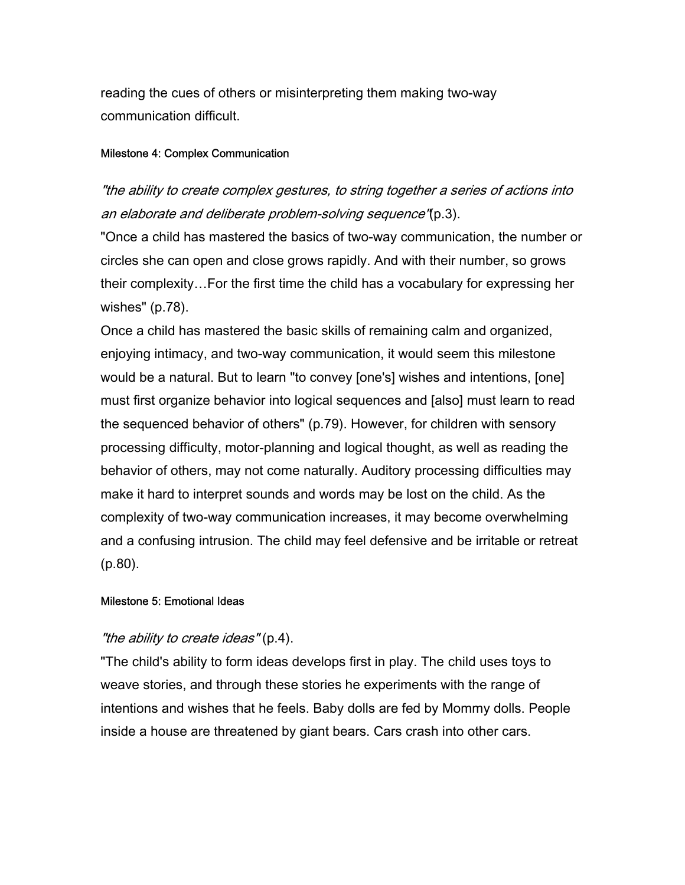reading the cues of others or misinterpreting them making two-way communication difficult.

#### Milestone 4: Complex Communication

"the ability to create complex gestures, to string together a series of actions into an elaborate and deliberate problem-solving sequence"(p.3).

"Once a child has mastered the basics of two-way communication, the number or circles she can open and close grows rapidly. And with their number, so grows their complexity…For the first time the child has a vocabulary for expressing her wishes" (p.78).

Once a child has mastered the basic skills of remaining calm and organized, enjoying intimacy, and two-way communication, it would seem this milestone would be a natural. But to learn "to convey [one's] wishes and intentions, [one] must first organize behavior into logical sequences and [also] must learn to read the sequenced behavior of others" (p.79). However, for children with sensory processing difficulty, motor-planning and logical thought, as well as reading the behavior of others, may not come naturally. Auditory processing difficulties may make it hard to interpret sounds and words may be lost on the child. As the complexity of two-way communication increases, it may become overwhelming and a confusing intrusion. The child may feel defensive and be irritable or retreat (p.80).

#### Milestone 5: Emotional Ideas

### "the ability to create ideas" (p.4).

"The child's ability to form ideas develops first in play. The child uses toys to weave stories, and through these stories he experiments with the range of intentions and wishes that he feels. Baby dolls are fed by Mommy dolls. People inside a house are threatened by giant bears. Cars crash into other cars.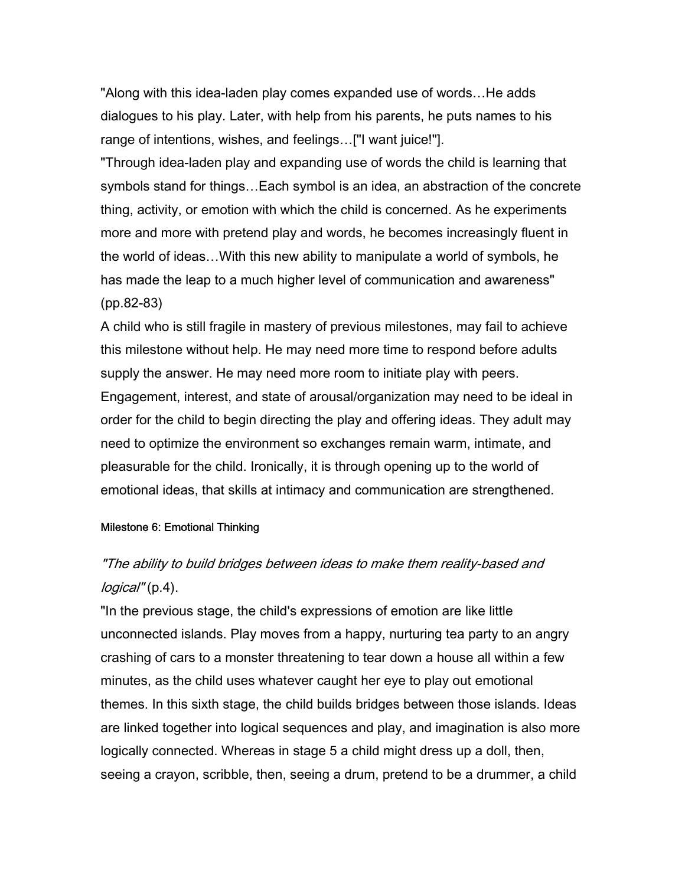"Along with this idea-laden play comes expanded use of words…He adds dialogues to his play. Later, with help from his parents, he puts names to his range of intentions, wishes, and feelings…["I want juice!"].

"Through idea-laden play and expanding use of words the child is learning that symbols stand for things…Each symbol is an idea, an abstraction of the concrete thing, activity, or emotion with which the child is concerned. As he experiments more and more with pretend play and words, he becomes increasingly fluent in the world of ideas…With this new ability to manipulate a world of symbols, he has made the leap to a much higher level of communication and awareness" (pp.82-83)

A child who is still fragile in mastery of previous milestones, may fail to achieve this milestone without help. He may need more time to respond before adults supply the answer. He may need more room to initiate play with peers. Engagement, interest, and state of arousal/organization may need to be ideal in order for the child to begin directing the play and offering ideas. They adult may need to optimize the environment so exchanges remain warm, intimate, and pleasurable for the child. Ironically, it is through opening up to the world of emotional ideas, that skills at intimacy and communication are strengthened.

#### Milestone 6: Emotional Thinking

# "The ability to build bridges between ideas to make them reality-based and logical" (p.4).

"In the previous stage, the child's expressions of emotion are like little unconnected islands. Play moves from a happy, nurturing tea party to an angry crashing of cars to a monster threatening to tear down a house all within a few minutes, as the child uses whatever caught her eye to play out emotional themes. In this sixth stage, the child builds bridges between those islands. Ideas are linked together into logical sequences and play, and imagination is also more logically connected. Whereas in stage 5 a child might dress up a doll, then, seeing a crayon, scribble, then, seeing a drum, pretend to be a drummer, a child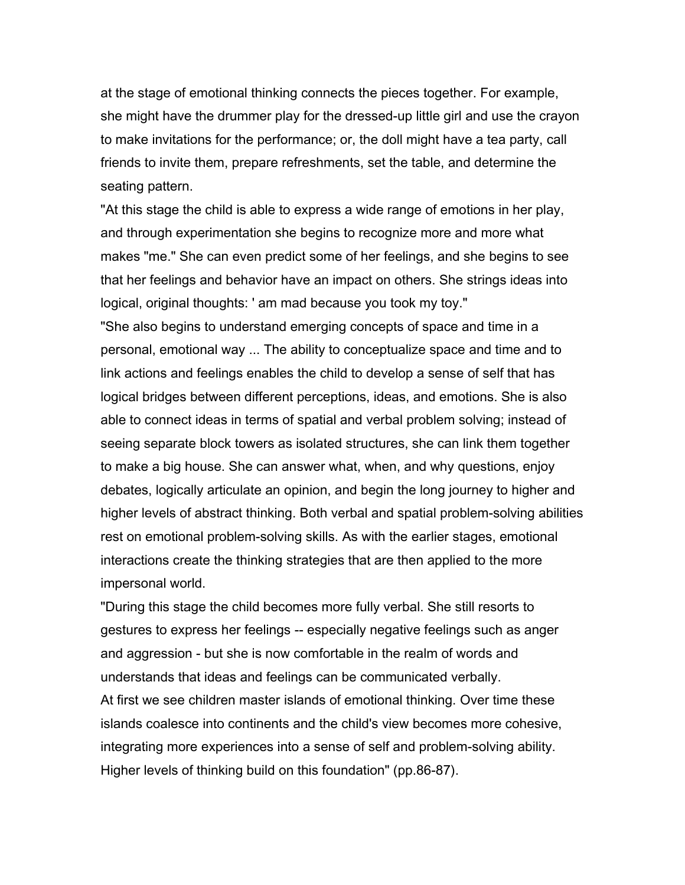at the stage of emotional thinking connects the pieces together. For example, she might have the drummer play for the dressed-up little girl and use the crayon to make invitations for the performance; or, the doll might have a tea party, call friends to invite them, prepare refreshments, set the table, and determine the seating pattern.

"At this stage the child is able to express a wide range of emotions in her play, and through experimentation she begins to recognize more and more what makes "me." She can even predict some of her feelings, and she begins to see that her feelings and behavior have an impact on others. She strings ideas into logical, original thoughts: ' am mad because you took my toy."

"She also begins to understand emerging concepts of space and time in a personal, emotional way ... The ability to conceptualize space and time and to link actions and feelings enables the child to develop a sense of self that has logical bridges between different perceptions, ideas, and emotions. She is also able to connect ideas in terms of spatial and verbal problem solving; instead of seeing separate block towers as isolated structures, she can link them together to make a big house. She can answer what, when, and why questions, enjoy debates, logically articulate an opinion, and begin the long journey to higher and higher levels of abstract thinking. Both verbal and spatial problem-solving abilities rest on emotional problem-solving skills. As with the earlier stages, emotional interactions create the thinking strategies that are then applied to the more impersonal world.

"During this stage the child becomes more fully verbal. She still resorts to gestures to express her feelings -- especially negative feelings such as anger and aggression - but she is now comfortable in the realm of words and understands that ideas and feelings can be communicated verbally. At first we see children master islands of emotional thinking. Over time these islands coalesce into continents and the child's view becomes more cohesive, integrating more experiences into a sense of self and problem-solving ability. Higher levels of thinking build on this foundation" (pp.86-87).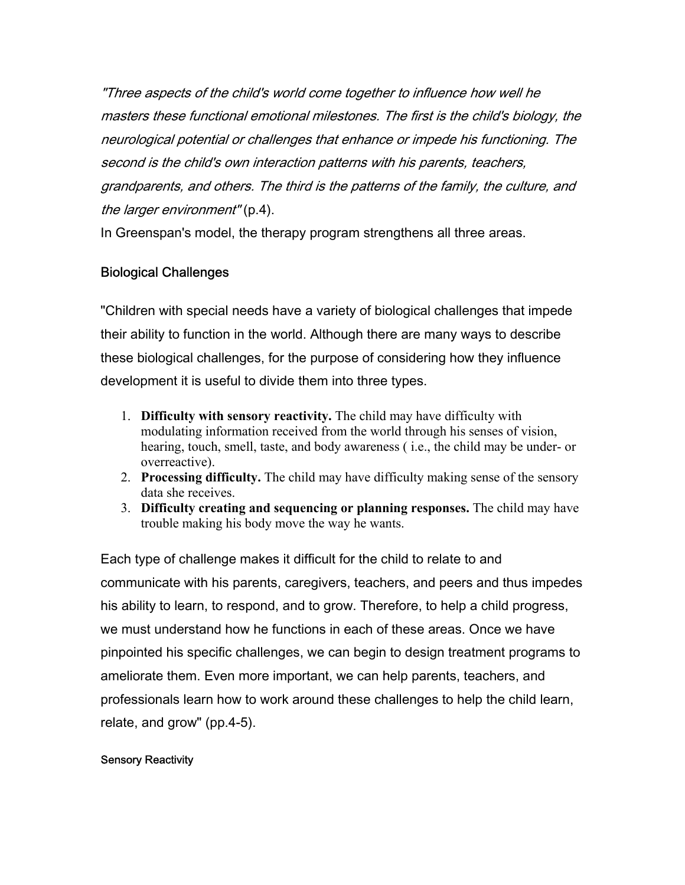"Three aspects of the child's world come together to influence how well he masters these functional emotional milestones. The first is the child's biology, the neurological potential or challenges that enhance or impede his functioning. The second is the child's own interaction patterns with his parents, teachers, grandparents, and others. The third is the patterns of the family, the culture, and the larger environment" (p.4).

In Greenspan's model, the therapy program strengthens all three areas.

## Biological Challenges

"Children with special needs have a variety of biological challenges that impede their ability to function in the world. Although there are many ways to describe these biological challenges, for the purpose of considering how they influence development it is useful to divide them into three types.

- 1. **Difficulty with sensory reactivity.** The child may have difficulty with modulating information received from the world through his senses of vision, hearing, touch, smell, taste, and body awareness ( i.e., the child may be under- or overreactive).
- 2. **Processing difficulty.** The child may have difficulty making sense of the sensory data she receives.
- 3. **Difficulty creating and sequencing or planning responses.** The child may have trouble making his body move the way he wants.

Each type of challenge makes it difficult for the child to relate to and communicate with his parents, caregivers, teachers, and peers and thus impedes his ability to learn, to respond, and to grow. Therefore, to help a child progress, we must understand how he functions in each of these areas. Once we have pinpointed his specific challenges, we can begin to design treatment programs to ameliorate them. Even more important, we can help parents, teachers, and professionals learn how to work around these challenges to help the child learn, relate, and grow" (pp.4-5).

#### Sensory Reactivity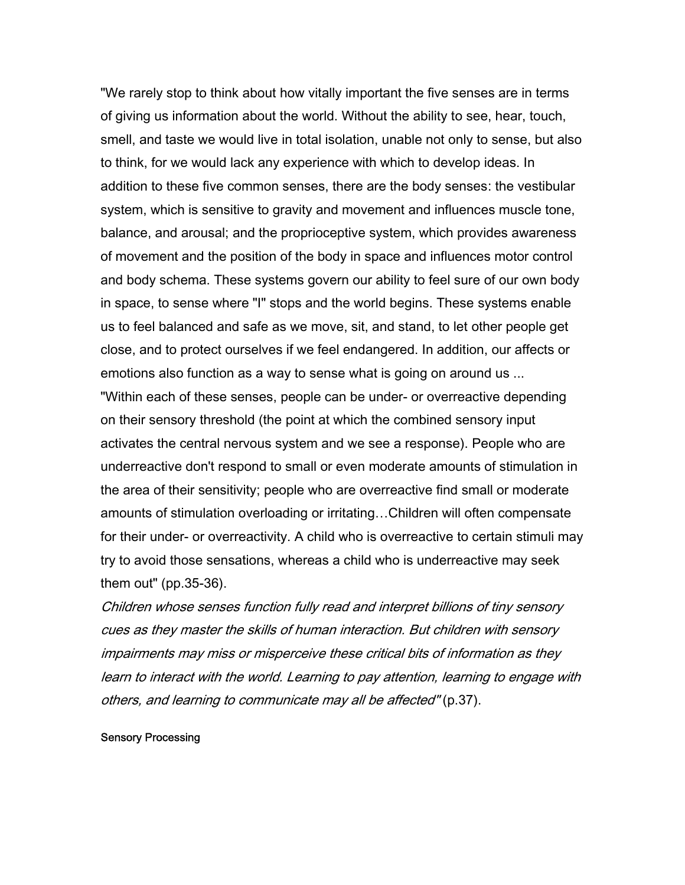"We rarely stop to think about how vitally important the five senses are in terms of giving us information about the world. Without the ability to see, hear, touch, smell, and taste we would live in total isolation, unable not only to sense, but also to think, for we would lack any experience with which to develop ideas. In addition to these five common senses, there are the body senses: the vestibular system, which is sensitive to gravity and movement and influences muscle tone, balance, and arousal; and the proprioceptive system, which provides awareness of movement and the position of the body in space and influences motor control and body schema. These systems govern our ability to feel sure of our own body in space, to sense where "I" stops and the world begins. These systems enable us to feel balanced and safe as we move, sit, and stand, to let other people get close, and to protect ourselves if we feel endangered. In addition, our affects or emotions also function as a way to sense what is going on around us ... "Within each of these senses, people can be under- or overreactive depending on their sensory threshold (the point at which the combined sensory input activates the central nervous system and we see a response). People who are underreactive don't respond to small or even moderate amounts of stimulation in the area of their sensitivity; people who are overreactive find small or moderate amounts of stimulation overloading or irritating…Children will often compensate

for their under- or overreactivity. A child who is overreactive to certain stimuli may try to avoid those sensations, whereas a child who is underreactive may seek them out" (pp.35-36).

Children whose senses function fully read and interpret billions of tiny sensory cues as they master the skills of human interaction. But children with sensory impairments may miss or misperceive these critical bits of information as they learn to interact with the world. Learning to pay attention, learning to engage with others, and learning to communicate may all be affected" (p.37).

#### Sensory Processing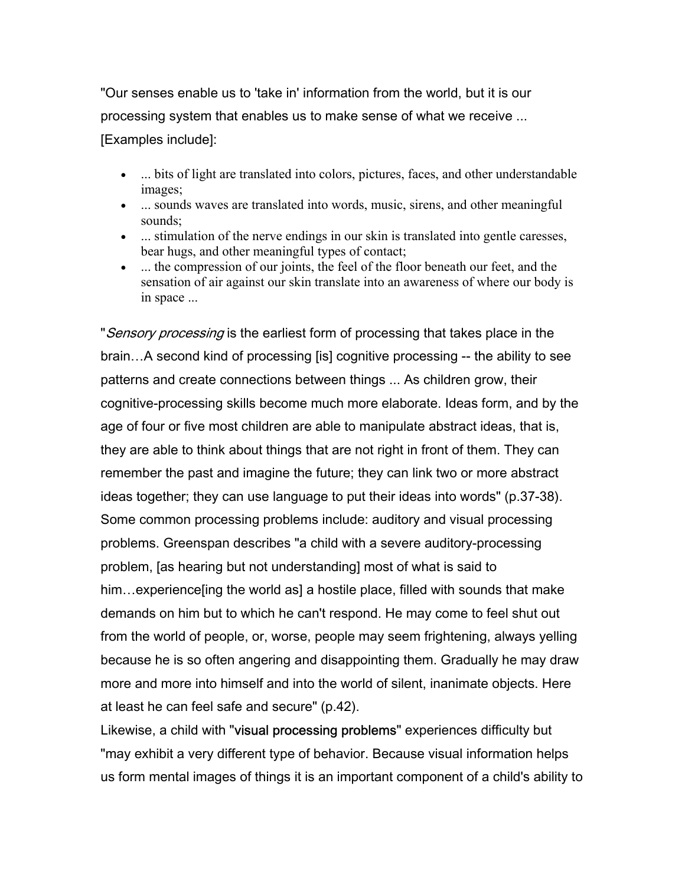"Our senses enable us to 'take in' information from the world, but it is our processing system that enables us to make sense of what we receive ... [Examples include]:

- ... bits of light are translated into colors, pictures, faces, and other understandable images;
- ... sounds waves are translated into words, music, sirens, and other meaningful sounds;
- ... stimulation of the nerve endings in our skin is translated into gentle caresses, bear hugs, and other meaningful types of contact;
- ... the compression of our joints, the feel of the floor beneath our feet, and the sensation of air against our skin translate into an awareness of where our body is in space ...

"*Sensory processing* is the earliest form of processing that takes place in the brain…A second kind of processing [is] cognitive processing -- the ability to see patterns and create connections between things ... As children grow, their cognitive-processing skills become much more elaborate. Ideas form, and by the age of four or five most children are able to manipulate abstract ideas, that is, they are able to think about things that are not right in front of them. They can remember the past and imagine the future; they can link two or more abstract ideas together; they can use language to put their ideas into words" (p.37-38). Some common processing problems include: auditory and visual processing problems. Greenspan describes "a child with a severe auditory-processing problem, [as hearing but not understanding] most of what is said to him...experience ing the world as a hostile place, filled with sounds that make demands on him but to which he can't respond. He may come to feel shut out from the world of people, or, worse, people may seem frightening, always yelling because he is so often angering and disappointing them. Gradually he may draw more and more into himself and into the world of silent, inanimate objects. Here at least he can feel safe and secure" (p.42).

Likewise, a child with "visual processing problems" experiences difficulty but "may exhibit a very different type of behavior. Because visual information helps us form mental images of things it is an important component of a child's ability to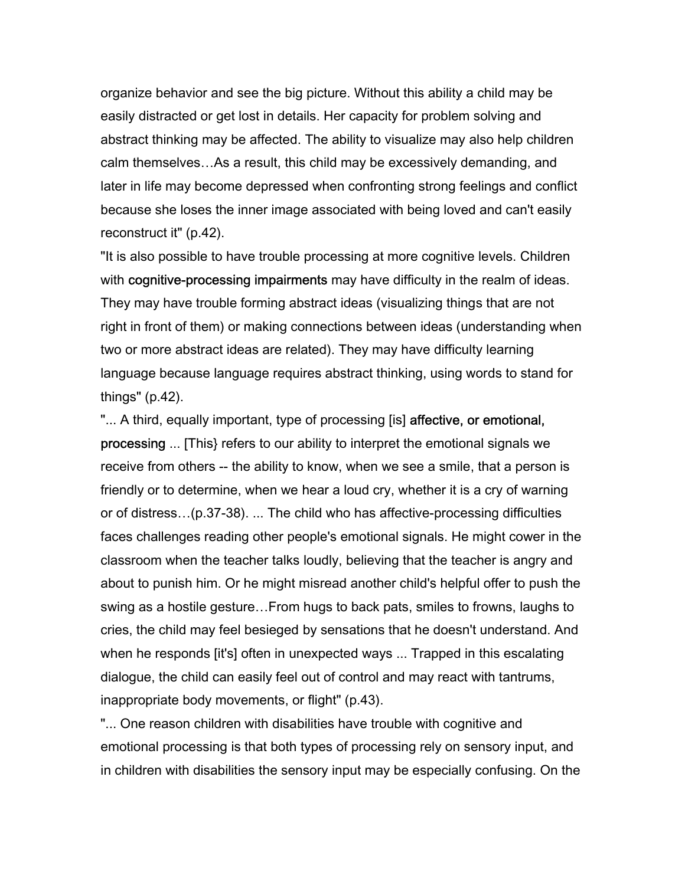organize behavior and see the big picture. Without this ability a child may be easily distracted or get lost in details. Her capacity for problem solving and abstract thinking may be affected. The ability to visualize may also help children calm themselves…As a result, this child may be excessively demanding, and later in life may become depressed when confronting strong feelings and conflict because she loses the inner image associated with being loved and can't easily reconstruct it" (p.42).

"It is also possible to have trouble processing at more cognitive levels. Children with cognitive-processing impairments may have difficulty in the realm of ideas. They may have trouble forming abstract ideas (visualizing things that are not right in front of them) or making connections between ideas (understanding when two or more abstract ideas are related). They may have difficulty learning language because language requires abstract thinking, using words to stand for things" (p.42).

"... A third, equally important, type of processing [is] affective, or emotional, processing ... [This} refers to our ability to interpret the emotional signals we receive from others -- the ability to know, when we see a smile, that a person is friendly or to determine, when we hear a loud cry, whether it is a cry of warning or of distress…(p.37-38). ... The child who has affective-processing difficulties faces challenges reading other people's emotional signals. He might cower in the classroom when the teacher talks loudly, believing that the teacher is angry and about to punish him. Or he might misread another child's helpful offer to push the swing as a hostile gesture…From hugs to back pats, smiles to frowns, laughs to cries, the child may feel besieged by sensations that he doesn't understand. And when he responds [it's] often in unexpected ways ... Trapped in this escalating dialogue, the child can easily feel out of control and may react with tantrums, inappropriate body movements, or flight" (p.43).

"... One reason children with disabilities have trouble with cognitive and emotional processing is that both types of processing rely on sensory input, and in children with disabilities the sensory input may be especially confusing. On the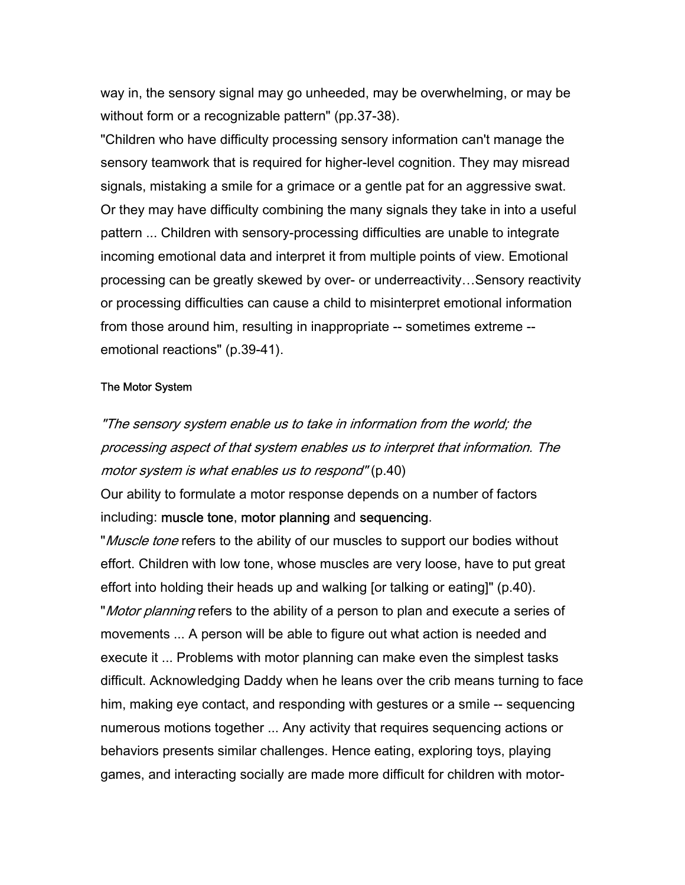way in, the sensory signal may go unheeded, may be overwhelming, or may be without form or a recognizable pattern" (pp.37-38).

"Children who have difficulty processing sensory information can't manage the sensory teamwork that is required for higher-level cognition. They may misread signals, mistaking a smile for a grimace or a gentle pat for an aggressive swat. Or they may have difficulty combining the many signals they take in into a useful pattern ... Children with sensory-processing difficulties are unable to integrate incoming emotional data and interpret it from multiple points of view. Emotional processing can be greatly skewed by over- or underreactivity…Sensory reactivity or processing difficulties can cause a child to misinterpret emotional information from those around him, resulting in inappropriate -- sometimes extreme - emotional reactions" (p.39-41).

#### The Motor System

"The sensory system enable us to take in information from the world; the processing aspect of that system enables us to interpret that information. The motor system is what enables us to respond" (p.40)

Our ability to formulate a motor response depends on a number of factors including: muscle tone, motor planning and sequencing.

"*Muscle tone* refers to the ability of our muscles to support our bodies without effort. Children with low tone, whose muscles are very loose, have to put great effort into holding their heads up and walking [or talking or eating]" (p.40). "Motor planning refers to the ability of a person to plan and execute a series of movements ... A person will be able to figure out what action is needed and execute it ... Problems with motor planning can make even the simplest tasks difficult. Acknowledging Daddy when he leans over the crib means turning to face him, making eye contact, and responding with gestures or a smile -- sequencing numerous motions together ... Any activity that requires sequencing actions or behaviors presents similar challenges. Hence eating, exploring toys, playing games, and interacting socially are made more difficult for children with motor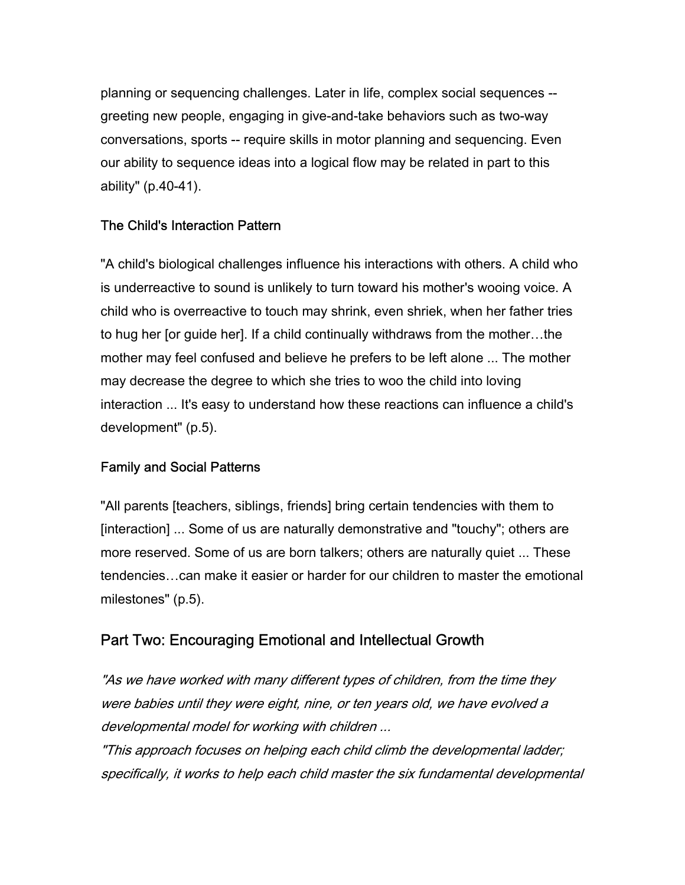planning or sequencing challenges. Later in life, complex social sequences - greeting new people, engaging in give-and-take behaviors such as two-way conversations, sports -- require skills in motor planning and sequencing. Even our ability to sequence ideas into a logical flow may be related in part to this ability" (p.40-41).

## The Child's Interaction Pattern

"A child's biological challenges influence his interactions with others. A child who is underreactive to sound is unlikely to turn toward his mother's wooing voice. A child who is overreactive to touch may shrink, even shriek, when her father tries to hug her [or guide her]. If a child continually withdraws from the mother…the mother may feel confused and believe he prefers to be left alone ... The mother may decrease the degree to which she tries to woo the child into loving interaction ... It's easy to understand how these reactions can influence a child's development" (p.5).

## Family and Social Patterns

"All parents [teachers, siblings, friends] bring certain tendencies with them to [interaction] ... Some of us are naturally demonstrative and "touchy"; others are more reserved. Some of us are born talkers; others are naturally quiet ... These tendencies…can make it easier or harder for our children to master the emotional milestones" (p.5).

# Part Two: Encouraging Emotional and Intellectual Growth

"As we have worked with many different types of children, from the time they were babies until they were eight, nine, or ten years old, we have evolved a developmental model for working with children ...

"This approach focuses on helping each child climb the developmental ladder; specifically, it works to help each child master the six fundamental developmental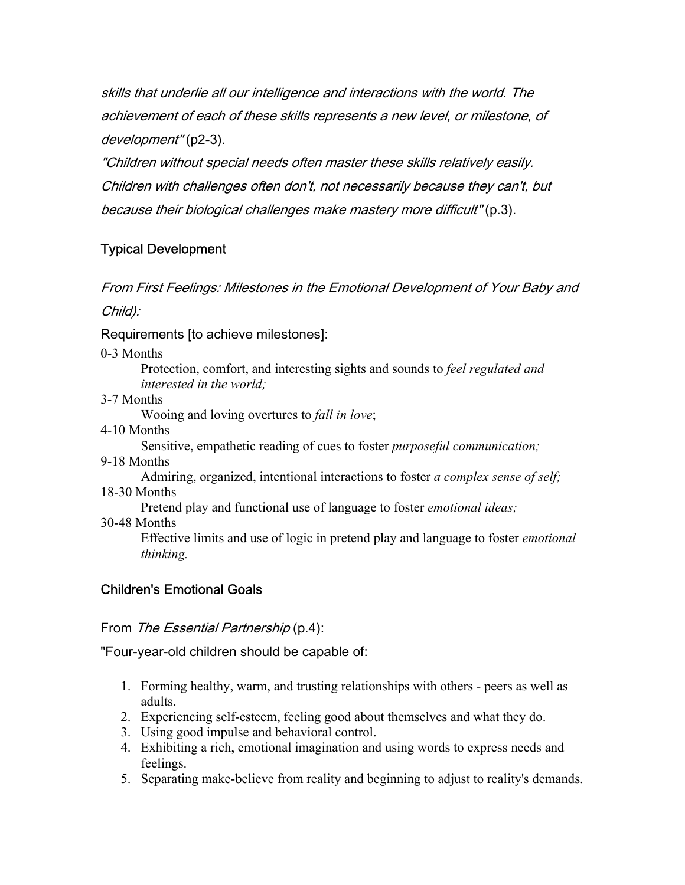skills that underlie all our intelligence and interactions with the world. The achievement of each of these skills represents a new level, or milestone, of development" (p2-3).

"Children without special needs often master these skills relatively easily. Children with challenges often don't, not necessarily because they can't, but because their biological challenges make mastery more difficult" (p.3).

## Typical Development

From First Feelings: Milestones in the Emotional Development of Your Baby and Child):

Requirements [to achieve milestones]:

0-3 Months

Protection, comfort, and interesting sights and sounds to *feel regulated and interested in the world;*

3-7 Months

Wooing and loving overtures to *fall in love*;

4-10 Months

Sensitive, empathetic reading of cues to foster *purposeful communication;*

9-18 Months

Admiring, organized, intentional interactions to foster *a complex sense of self;* 18-30 Months

Pretend play and functional use of language to foster *emotional ideas;*

30-48 Months

Effective limits and use of logic in pretend play and language to foster *emotional thinking.*

## Children's Emotional Goals

### From The Essential Partnership (p.4):

"Four-year-old children should be capable of:

- 1. Forming healthy, warm, and trusting relationships with others peers as well as adults.
- 2. Experiencing self-esteem, feeling good about themselves and what they do.
- 3. Using good impulse and behavioral control.
- 4. Exhibiting a rich, emotional imagination and using words to express needs and feelings.
- 5. Separating make-believe from reality and beginning to adjust to reality's demands.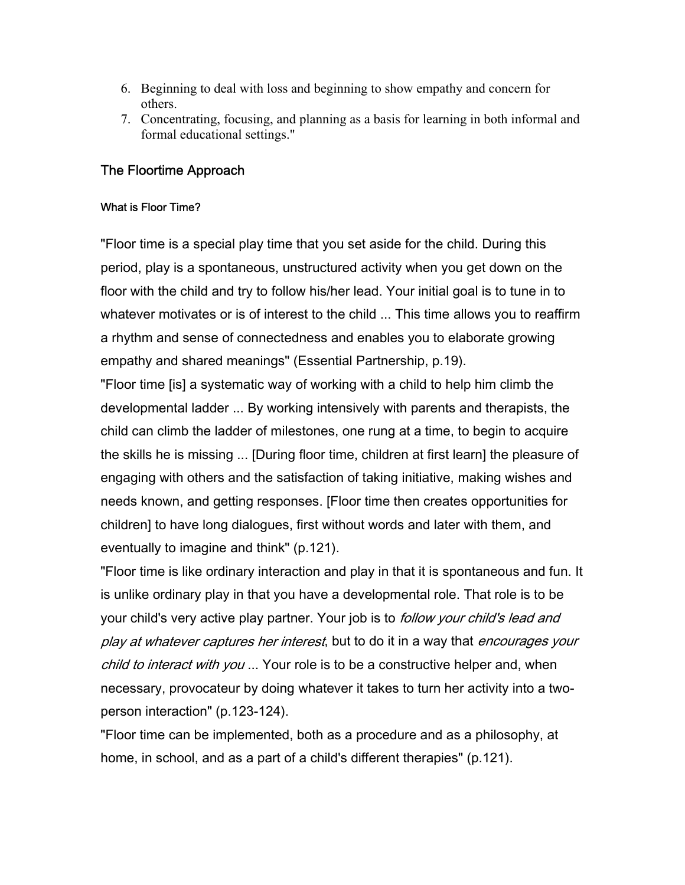- 6. Beginning to deal with loss and beginning to show empathy and concern for others.
- 7. Concentrating, focusing, and planning as a basis for learning in both informal and formal educational settings."

### The Floortime Approach

#### What is Floor Time?

"Floor time is a special play time that you set aside for the child. During this period, play is a spontaneous, unstructured activity when you get down on the floor with the child and try to follow his/her lead. Your initial goal is to tune in to whatever motivates or is of interest to the child ... This time allows you to reaffirm a rhythm and sense of connectedness and enables you to elaborate growing empathy and shared meanings" (Essential Partnership, p.19).

"Floor time [is] a systematic way of working with a child to help him climb the developmental ladder ... By working intensively with parents and therapists, the child can climb the ladder of milestones, one rung at a time, to begin to acquire the skills he is missing ... [During floor time, children at first learn] the pleasure of engaging with others and the satisfaction of taking initiative, making wishes and needs known, and getting responses. [Floor time then creates opportunities for children] to have long dialogues, first without words and later with them, and eventually to imagine and think" (p.121).

"Floor time is like ordinary interaction and play in that it is spontaneous and fun. It is unlike ordinary play in that you have a developmental role. That role is to be your child's very active play partner. Your job is to *follow your child's lead and* play at whatever captures her interest, but to do it in a way that encourages your child to interact with you ... Your role is to be a constructive helper and, when necessary, provocateur by doing whatever it takes to turn her activity into a twoperson interaction" (p.123-124).

"Floor time can be implemented, both as a procedure and as a philosophy, at home, in school, and as a part of a child's different therapies" (p.121).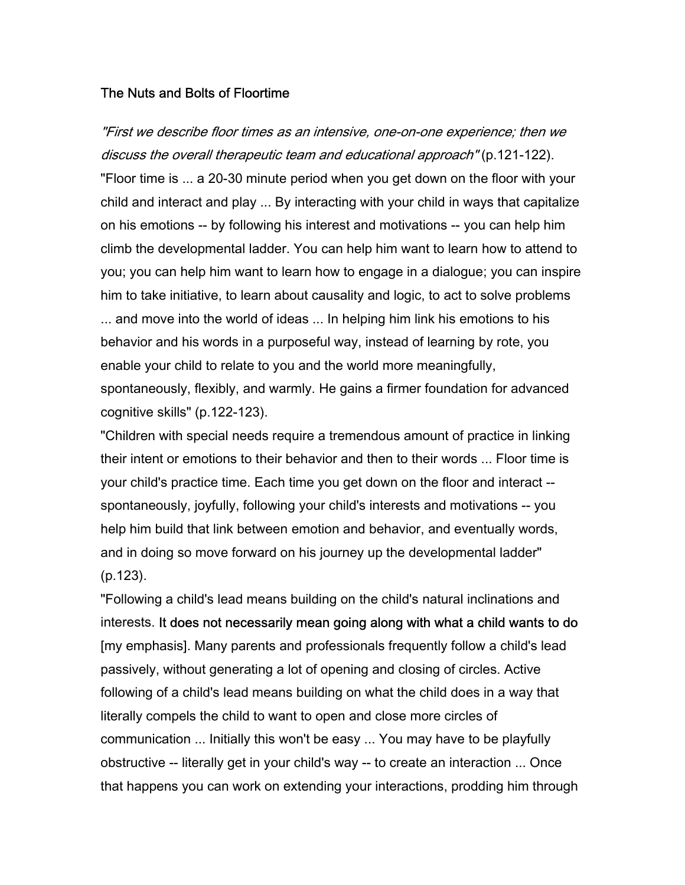#### The Nuts and Bolts of Floortime

"First we describe floor times as an intensive, one-on-one experience; then we discuss the overall therapeutic team and educational approach" (p.121-122).

"Floor time is ... a 20-30 minute period when you get down on the floor with your child and interact and play ... By interacting with your child in ways that capitalize on his emotions -- by following his interest and motivations -- you can help him climb the developmental ladder. You can help him want to learn how to attend to you; you can help him want to learn how to engage in a dialogue; you can inspire him to take initiative, to learn about causality and logic, to act to solve problems ... and move into the world of ideas ... In helping him link his emotions to his behavior and his words in a purposeful way, instead of learning by rote, you enable your child to relate to you and the world more meaningfully, spontaneously, flexibly, and warmly. He gains a firmer foundation for advanced cognitive skills" (p.122-123).

"Children with special needs require a tremendous amount of practice in linking their intent or emotions to their behavior and then to their words ... Floor time is your child's practice time. Each time you get down on the floor and interact - spontaneously, joyfully, following your child's interests and motivations -- you help him build that link between emotion and behavior, and eventually words, and in doing so move forward on his journey up the developmental ladder" (p.123).

"Following a child's lead means building on the child's natural inclinations and interests. It does not necessarily mean going along with what a child wants to do [my emphasis]. Many parents and professionals frequently follow a child's lead passively, without generating a lot of opening and closing of circles. Active following of a child's lead means building on what the child does in a way that literally compels the child to want to open and close more circles of communication ... Initially this won't be easy ... You may have to be playfully obstructive -- literally get in your child's way -- to create an interaction ... Once that happens you can work on extending your interactions, prodding him through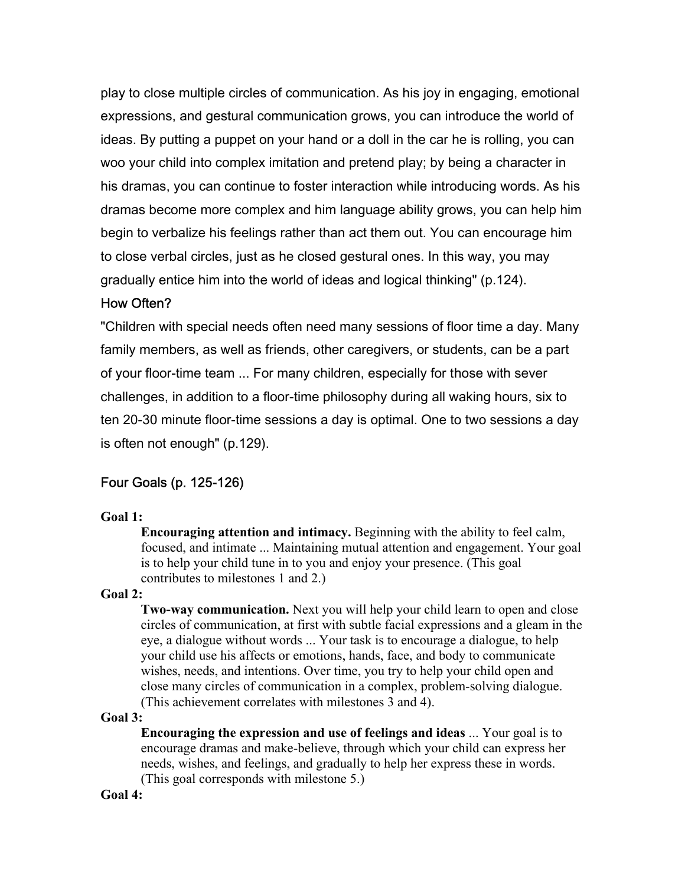play to close multiple circles of communication. As his joy in engaging, emotional expressions, and gestural communication grows, you can introduce the world of ideas. By putting a puppet on your hand or a doll in the car he is rolling, you can woo your child into complex imitation and pretend play; by being a character in his dramas, you can continue to foster interaction while introducing words. As his dramas become more complex and him language ability grows, you can help him begin to verbalize his feelings rather than act them out. You can encourage him to close verbal circles, just as he closed gestural ones. In this way, you may gradually entice him into the world of ideas and logical thinking" (p.124).

### How Often?

"Children with special needs often need many sessions of floor time a day. Many family members, as well as friends, other caregivers, or students, can be a part of your floor-time team ... For many children, especially for those with sever challenges, in addition to a floor-time philosophy during all waking hours, six to ten 20-30 minute floor-time sessions a day is optimal. One to two sessions a day is often not enough" (p.129).

### Four Goals (p. 125-126)

#### **Goal 1:**

**Encouraging attention and intimacy.** Beginning with the ability to feel calm, focused, and intimate ... Maintaining mutual attention and engagement. Your goal is to help your child tune in to you and enjoy your presence. (This goal contributes to milestones 1 and 2.)

#### **Goal 2:**

**Two-way communication.** Next you will help your child learn to open and close circles of communication, at first with subtle facial expressions and a gleam in the eye, a dialogue without words ... Your task is to encourage a dialogue, to help your child use his affects or emotions, hands, face, and body to communicate wishes, needs, and intentions. Over time, you try to help your child open and close many circles of communication in a complex, problem-solving dialogue. (This achievement correlates with milestones 3 and 4).

#### **Goal 3:**

**Encouraging the expression and use of feelings and ideas** ... Your goal is to encourage dramas and make-believe, through which your child can express her needs, wishes, and feelings, and gradually to help her express these in words. (This goal corresponds with milestone 5.)

#### **Goal 4:**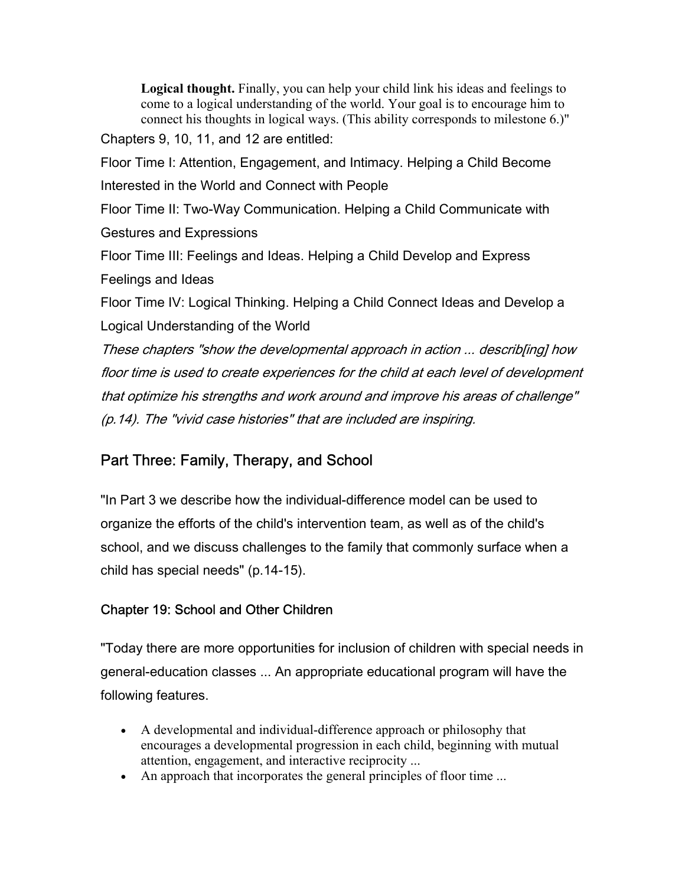**Logical thought.** Finally, you can help your child link his ideas and feelings to come to a logical understanding of the world. Your goal is to encourage him to connect his thoughts in logical ways. (This ability corresponds to milestone 6.)"

Chapters 9, 10, 11, and 12 are entitled:

Floor Time I: Attention, Engagement, and Intimacy. Helping a Child Become Interested in the World and Connect with People

Floor Time II: Two-Way Communication. Helping a Child Communicate with

Gestures and Expressions

Floor Time III: Feelings and Ideas. Helping a Child Develop and Express Feelings and Ideas

Floor Time IV: Logical Thinking. Helping a Child Connect Ideas and Develop a Logical Understanding of the World

These chapters "show the developmental approach in action ... describ[ing] how floor time is used to create experiences for the child at each level of development that optimize his strengths and work around and improve his areas of challenge" (p.14). The "vivid case histories" that are included are inspiring.

# Part Three: Family, Therapy, and School

"In Part 3 we describe how the individual-difference model can be used to organize the efforts of the child's intervention team, as well as of the child's school, and we discuss challenges to the family that commonly surface when a child has special needs" (p.14-15).

# Chapter 19: School and Other Children

"Today there are more opportunities for inclusion of children with special needs in general-education classes ... An appropriate educational program will have the following features.

- A developmental and individual-difference approach or philosophy that encourages a developmental progression in each child, beginning with mutual attention, engagement, and interactive reciprocity ...
- An approach that incorporates the general principles of floor time ...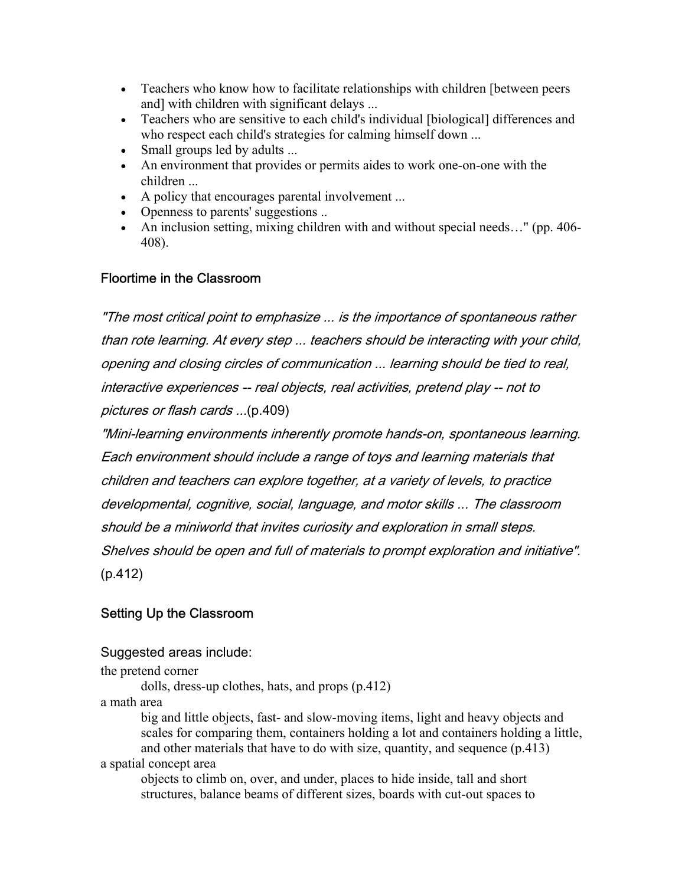- Teachers who know how to facilitate relationships with children [between peers] and] with children with significant delays ...
- Teachers who are sensitive to each child's individual [biological] differences and who respect each child's strategies for calming himself down ...
- Small groups led by adults ...
- An environment that provides or permits aides to work one-on-one with the children ...
- A policy that encourages parental involvement ...
- Openness to parents' suggestions ..
- An inclusion setting, mixing children with and without special needs..." (pp. 406-408).

## Floortime in the Classroom

"The most critical point to emphasize ... is the importance of spontaneous rather than rote learning. At every step ... teachers should be interacting with your child, opening and closing circles of communication ... learning should be tied to real, interactive experiences -- real objects, real activities, pretend play -- not to pictures or flash cards ...(p.409)

"Mini-learning environments inherently promote hands-on, spontaneous learning. Each environment should include a range of toys and learning materials that children and teachers can explore together, at a variety of levels, to practice developmental, cognitive, social, language, and motor skills ... The classroom should be a miniworld that invites curiosity and exploration in small steps. Shelves should be open and full of materials to prompt exploration and initiative". (p.412)

# Setting Up the Classroom

Suggested areas include:

the pretend corner dolls, dress-up clothes, hats, and props (p.412) a math area big and little objects, fast- and slow-moving items, light and heavy objects and scales for comparing them, containers holding a lot and containers holding a little, and other materials that have to do with size, quantity, and sequence (p.413) a spatial concept area objects to climb on, over, and under, places to hide inside, tall and short structures, balance beams of different sizes, boards with cut-out spaces to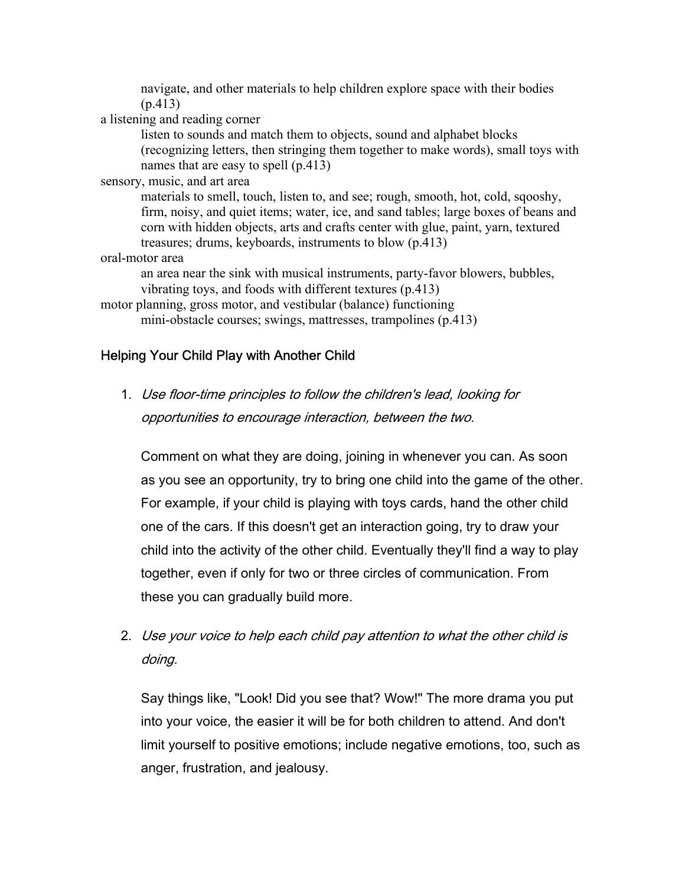navigate, and other materials to help children explore space with their bodies (p.413)

a listening and reading corner

listen to sounds and match them to objects, sound and alphabet blocks (recognizing letters, then stringing them together to make words), small toys with names that are easy to spell (p.413)

sensory, music, and art area

materials to smell, touch, listen to, and see; rough, smooth, hot, cold, sqooshy, firm, noisy, and quiet items; water, ice, and sand tables; large boxes of beans and corn with hidden objects, arts and crafts center with glue, paint, yarn, textured treasures; drums, keyboards, instruments to blow (p.413)

oral-motor area an area near the sink with musical instruments, party-favor blowers, bubbles,

vibrating toys, and foods with different textures (p.413)

motor planning, gross motor, and vestibular (balance) functioning mini-obstacle courses; swings, mattresses, trampolines (p.413)

## Helping Your Child Play with Another Child

1. Use floor-time principles to follow the children's lead, looking for opportunities to encourage interaction, between the two.

Comment on what they are doing, joining in whenever you can. As soon as you see an opportunity, try to bring one child into the game of the other. For example, if your child is playing with toys cards, hand the other child one of the cars. If this doesn't get an interaction going, try to draw your child into the activity of the other child. Eventually they'll find a way to play together, even if only for two or three circles of communication. From these you can gradually build more.

2. Use your voice to help each child pay attention to what the other child is doing.

Say things like, "Look! Did you see that? Wow!" The more drama you put into your voice, the easier it will be for both children to attend. And don't limit yourself to positive emotions; include negative emotions, too, such as anger, frustration, and jealousy.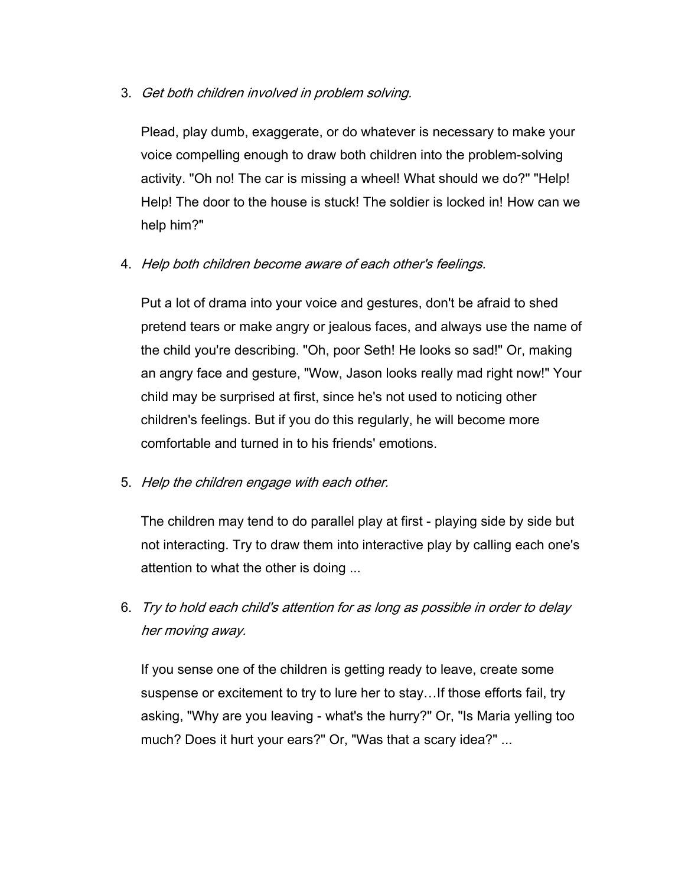3. Get both children involved in problem solving.

Plead, play dumb, exaggerate, or do whatever is necessary to make your voice compelling enough to draw both children into the problem-solving activity. "Oh no! The car is missing a wheel! What should we do?" "Help! Help! The door to the house is stuck! The soldier is locked in! How can we help him?"

4. Help both children become aware of each other's feelings.

Put a lot of drama into your voice and gestures, don't be afraid to shed pretend tears or make angry or jealous faces, and always use the name of the child you're describing. "Oh, poor Seth! He looks so sad!" Or, making an angry face and gesture, "Wow, Jason looks really mad right now!" Your child may be surprised at first, since he's not used to noticing other children's feelings. But if you do this regularly, he will become more comfortable and turned in to his friends' emotions.

5. Help the children engage with each other.

The children may tend to do parallel play at first - playing side by side but not interacting. Try to draw them into interactive play by calling each one's attention to what the other is doing ...

6. Try to hold each child's attention for as long as possible in order to delay her moving away.

If you sense one of the children is getting ready to leave, create some suspense or excitement to try to lure her to stay…If those efforts fail, try asking, "Why are you leaving - what's the hurry?" Or, "Is Maria yelling too much? Does it hurt your ears?" Or, "Was that a scary idea?" ...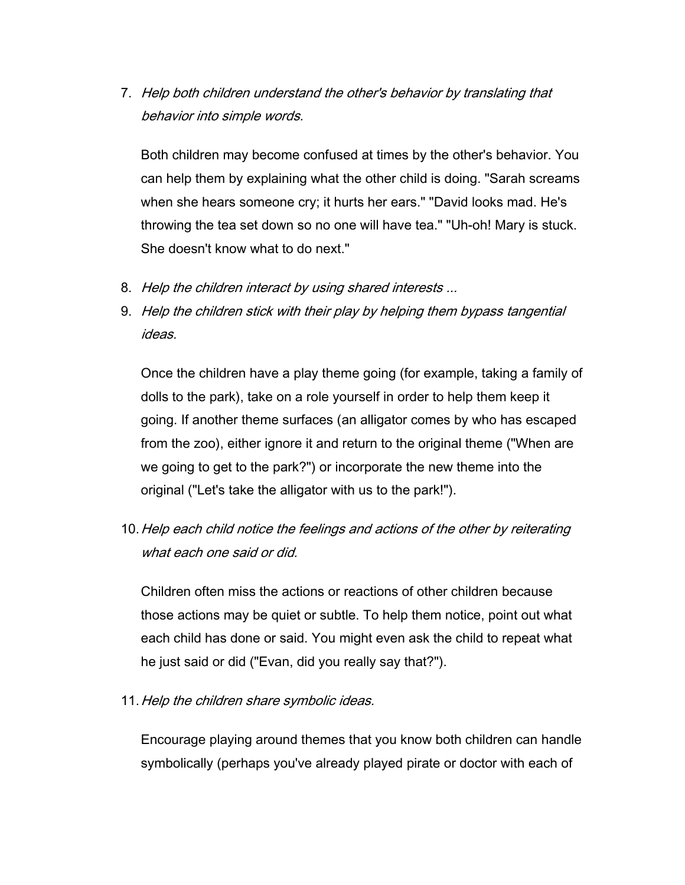7. Help both children understand the other's behavior by translating that behavior into simple words.

Both children may become confused at times by the other's behavior. You can help them by explaining what the other child is doing. "Sarah screams when she hears someone cry; it hurts her ears." "David looks mad. He's throwing the tea set down so no one will have tea." "Uh-oh! Mary is stuck. She doesn't know what to do next."

- 8. Help the children interact by using shared interests ...
- 9. Help the children stick with their play by helping them bypass tangential ideas.

Once the children have a play theme going (for example, taking a family of dolls to the park), take on a role yourself in order to help them keep it going. If another theme surfaces (an alligator comes by who has escaped from the zoo), either ignore it and return to the original theme ("When are we going to get to the park?") or incorporate the new theme into the original ("Let's take the alligator with us to the park!").

10. Help each child notice the feelings and actions of the other by reiterating what each one said or did.

Children often miss the actions or reactions of other children because those actions may be quiet or subtle. To help them notice, point out what each child has done or said. You might even ask the child to repeat what he just said or did ("Evan, did you really say that?").

11. Help the children share symbolic ideas.

Encourage playing around themes that you know both children can handle symbolically (perhaps you've already played pirate or doctor with each of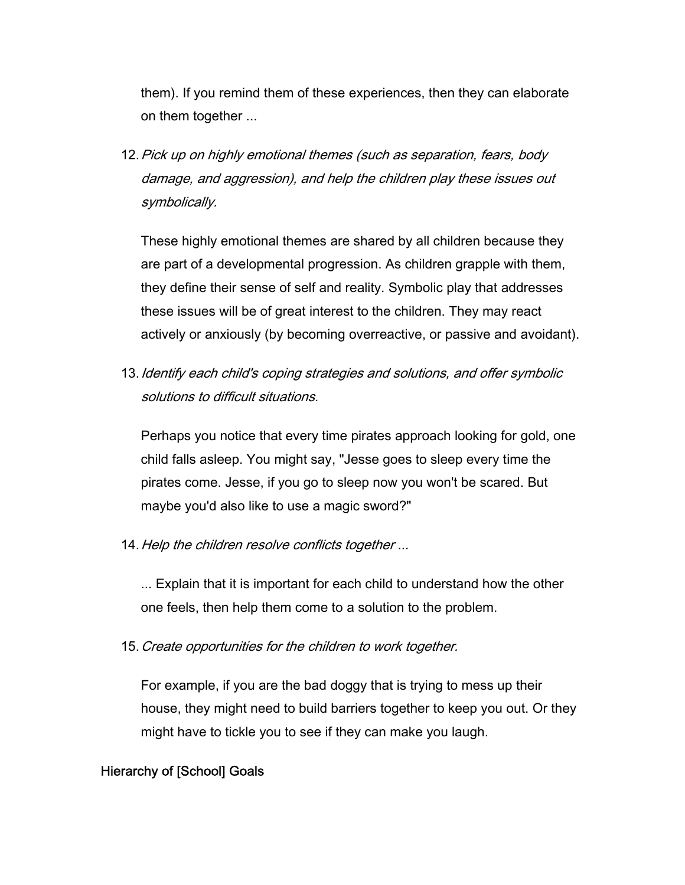them). If you remind them of these experiences, then they can elaborate on them together ...

12. Pick up on highly emotional themes (such as separation, fears, body damage, and aggression), and help the children play these issues out symbolically.

These highly emotional themes are shared by all children because they are part of a developmental progression. As children grapple with them, they define their sense of self and reality. Symbolic play that addresses these issues will be of great interest to the children. They may react actively or anxiously (by becoming overreactive, or passive and avoidant).

13. Identify each child's coping strategies and solutions, and offer symbolic solutions to difficult situations.

Perhaps you notice that every time pirates approach looking for gold, one child falls asleep. You might say, "Jesse goes to sleep every time the pirates come. Jesse, if you go to sleep now you won't be scared. But maybe you'd also like to use a magic sword?"

14. Help the children resolve conflicts together ...

... Explain that it is important for each child to understand how the other one feels, then help them come to a solution to the problem.

15. Create opportunities for the children to work together.

For example, if you are the bad doggy that is trying to mess up their house, they might need to build barriers together to keep you out. Or they might have to tickle you to see if they can make you laugh.

### Hierarchy of [School] Goals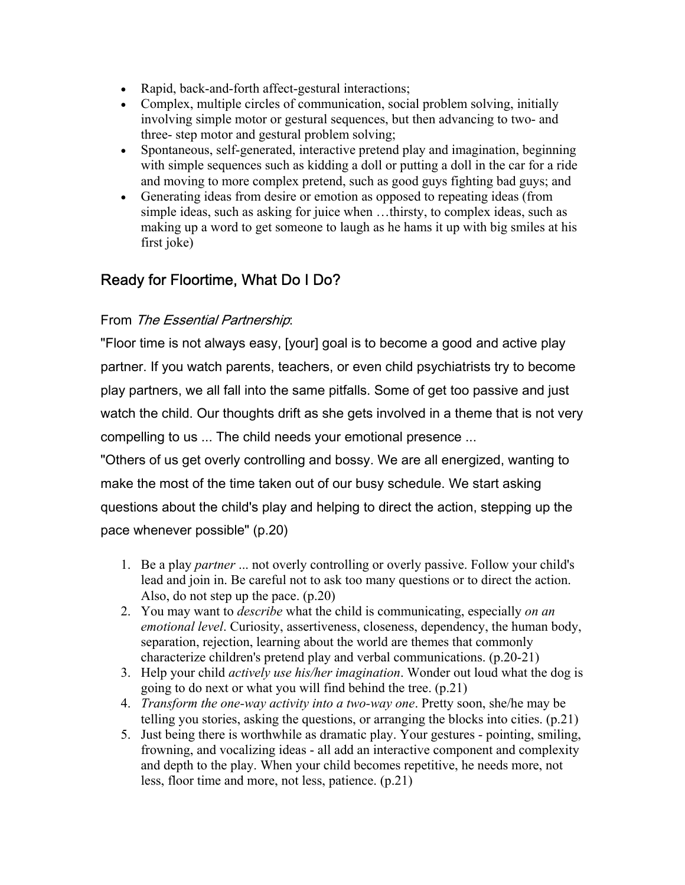- Rapid, back-and-forth affect-gestural interactions;
- Complex, multiple circles of communication, social problem solving, initially involving simple motor or gestural sequences, but then advancing to two- and three- step motor and gestural problem solving;
- Spontaneous, self-generated, interactive pretend play and imagination, beginning with simple sequences such as kidding a doll or putting a doll in the car for a ride and moving to more complex pretend, such as good guys fighting bad guys; and
- Generating ideas from desire or emotion as opposed to repeating ideas (from simple ideas, such as asking for juice when …thirsty, to complex ideas, such as making up a word to get someone to laugh as he hams it up with big smiles at his first joke)

# Ready for Floortime, What Do I Do?

## From The Essential Partnership:

"Floor time is not always easy, [your] goal is to become a good and active play partner. If you watch parents, teachers, or even child psychiatrists try to become play partners, we all fall into the same pitfalls. Some of get too passive and just watch the child. Our thoughts drift as she gets involved in a theme that is not very compelling to us ... The child needs your emotional presence ...

"Others of us get overly controlling and bossy. We are all energized, wanting to make the most of the time taken out of our busy schedule. We start asking questions about the child's play and helping to direct the action, stepping up the pace whenever possible" (p.20)

- 1. Be a play *partner* ... not overly controlling or overly passive. Follow your child's lead and join in. Be careful not to ask too many questions or to direct the action. Also, do not step up the pace. (p.20)
- 2. You may want to *describe* what the child is communicating, especially *on an emotional level*. Curiosity, assertiveness, closeness, dependency, the human body, separation, rejection, learning about the world are themes that commonly characterize children's pretend play and verbal communications. (p.20-21)
- 3. Help your child *actively use his/her imagination*. Wonder out loud what the dog is going to do next or what you will find behind the tree. (p.21)
- 4. *Transform the one-way activity into a two-way one*. Pretty soon, she/he may be telling you stories, asking the questions, or arranging the blocks into cities. (p.21)
- 5. Just being there is worthwhile as dramatic play. Your gestures pointing, smiling, frowning, and vocalizing ideas - all add an interactive component and complexity and depth to the play. When your child becomes repetitive, he needs more, not less, floor time and more, not less, patience. (p.21)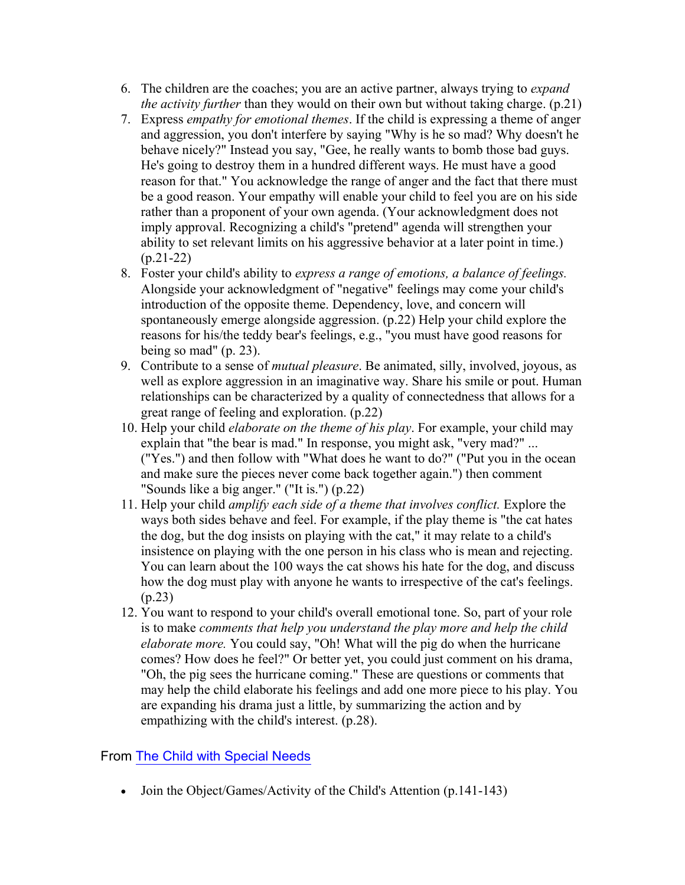- 6. The children are the coaches; you are an active partner, always trying to *expand the activity further* than they would on their own but without taking charge. (p.21)
- 7. Express *empathy for emotional themes*. If the child is expressing a theme of anger and aggression, you don't interfere by saying "Why is he so mad? Why doesn't he behave nicely?" Instead you say, "Gee, he really wants to bomb those bad guys. He's going to destroy them in a hundred different ways. He must have a good reason for that." You acknowledge the range of anger and the fact that there must be a good reason. Your empathy will enable your child to feel you are on his side rather than a proponent of your own agenda. (Your acknowledgment does not imply approval. Recognizing a child's "pretend" agenda will strengthen your ability to set relevant limits on his aggressive behavior at a later point in time.) (p.21-22)
- 8. Foster your child's ability to *express a range of emotions, a balance of feelings.* Alongside your acknowledgment of "negative" feelings may come your child's introduction of the opposite theme. Dependency, love, and concern will spontaneously emerge alongside aggression. (p.22) Help your child explore the reasons for his/the teddy bear's feelings, e.g., "you must have good reasons for being so mad" (p. 23).
- 9. Contribute to a sense of *mutual pleasure*. Be animated, silly, involved, joyous, as well as explore aggression in an imaginative way. Share his smile or pout. Human relationships can be characterized by a quality of connectedness that allows for a great range of feeling and exploration. (p.22)
- 10. Help your child *elaborate on the theme of his play*. For example, your child may explain that "the bear is mad." In response, you might ask, "very mad?" ... ("Yes.") and then follow with "What does he want to do?" ("Put you in the ocean and make sure the pieces never come back together again.") then comment "Sounds like a big anger." ("It is.") (p.22)
- 11. Help your child *amplify each side of a theme that involves conflict.* Explore the ways both sides behave and feel. For example, if the play theme is "the cat hates the dog, but the dog insists on playing with the cat," it may relate to a child's insistence on playing with the one person in his class who is mean and rejecting. You can learn about the 100 ways the cat shows his hate for the dog, and discuss how the dog must play with anyone he wants to irrespective of the cat's feelings. (p.23)
- 12. You want to respond to your child's overall emotional tone. So, part of your role is to make *comments that help you understand the play more and help the child elaborate more.* You could say, "Oh! What will the pig do when the hurricane comes? How does he feel?" Or better yet, you could just comment on his drama, "Oh, the pig sees the hurricane coming." These are questions or comments that may help the child elaborate his feelings and add one more piece to his play. You are expanding his drama just a little, by summarizing the action and by empathizing with the child's interest. (p.28).

# From The Child with Special Needs

• Join the Object/Games/Activity of the Child's Attention (p.141-143)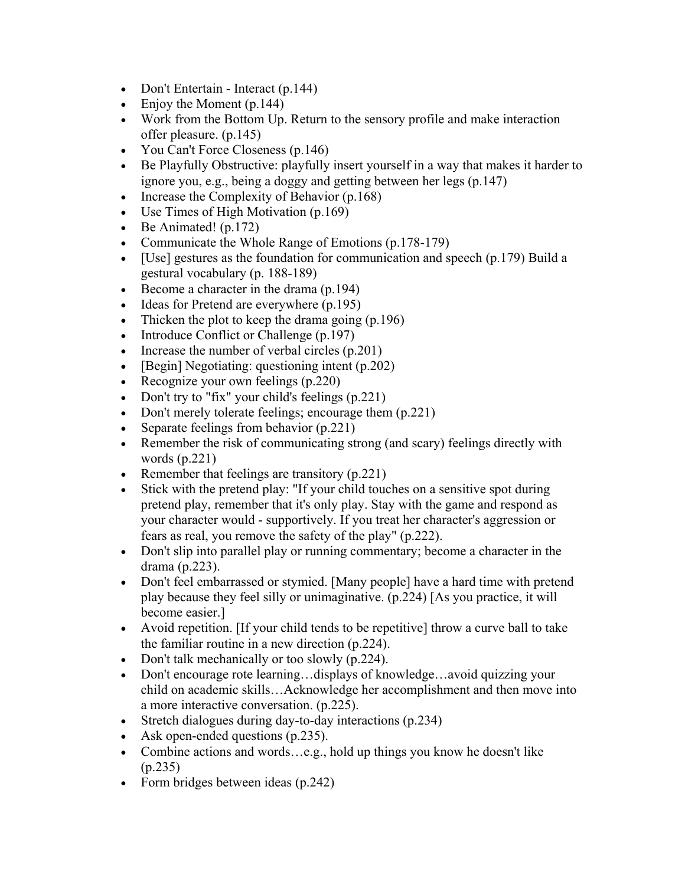- Don't Entertain Interact (p. 144)
- Enjoy the Moment (p.144)
- Work from the Bottom Up. Return to the sensory profile and make interaction offer pleasure. (p.145)
- You Can't Force Closeness (p.146)
- Be Playfully Obstructive: playfully insert yourself in a way that makes it harder to ignore you, e.g., being a doggy and getting between her legs (p.147)
- Increase the Complexity of Behavior (p.168)
- Use Times of High Motivation (p.169)
- Be Animated!  $(p.172)$
- Communicate the Whole Range of Emotions (p.178-179)
- [Use] gestures as the foundation for communication and speech (p.179) Build a gestural vocabulary (p. 188-189)
- Become a character in the drama (p.194)
- Ideas for Pretend are everywhere (p.195)
- Thicken the plot to keep the drama going  $(p.196)$
- Introduce Conflict or Challenge (p.197)
- Increase the number of verbal circles (p.201)
- [Begin] Negotiating: questioning intent (p.202)
- Recognize your own feelings (p.220)
- Don't try to "fix" your child's feelings (p.221)
- Don't merely tolerate feelings; encourage them  $(p.221)$
- Separate feelings from behavior (p.221)
- Remember the risk of communicating strong (and scary) feelings directly with words (p.221)
- Remember that feelings are transitory (p.221)
- Stick with the pretend play: "If your child touches on a sensitive spot during pretend play, remember that it's only play. Stay with the game and respond as your character would - supportively. If you treat her character's aggression or fears as real, you remove the safety of the play" (p.222).
- Don't slip into parallel play or running commentary; become a character in the drama (p.223).
- Don't feel embarrassed or stymied. [Many people] have a hard time with pretend play because they feel silly or unimaginative. (p.224) [As you practice, it will become easier.]
- Avoid repetition. [If your child tends to be repetitive] throw a curve ball to take the familiar routine in a new direction (p.224).
- Don't talk mechanically or too slowly (p.224).
- Don't encourage rote learning...displays of knowledge...avoid quizzing your child on academic skills…Acknowledge her accomplishment and then move into a more interactive conversation. (p.225).
- Stretch dialogues during day-to-day interactions (p.234)
- Ask open-ended questions (p.235).
- Combine actions and words…e.g., hold up things you know he doesn't like (p.235)
- Form bridges between ideas (p.242)